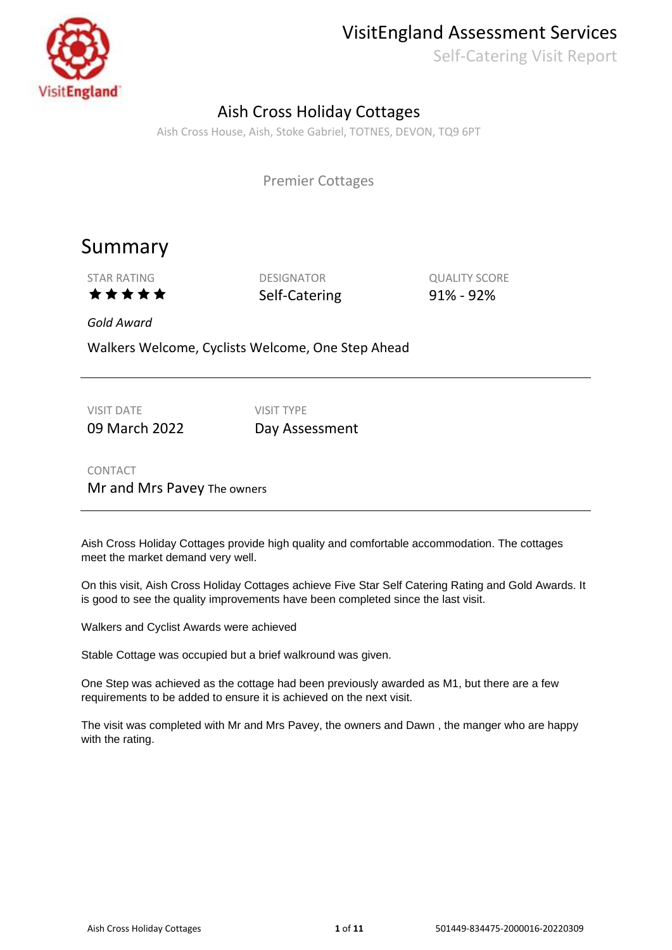

### VisitEngland Assessment Services

Self-Catering Visit Report

### Aish Cross Holiday Cottages

Aish Cross House, Aish, Stoke Gabriel, TOTNES, DEVON, TQ9 6PT

Premier Cottages

### Summary

STAR RATING DESIGNATOR DESIGNATOR QUALITY SCORE  $\star \star \star \star$  Self-Catering 91% - 92%

*Gold Award*

Walkers Welcome, Cyclists Welcome, One Step Ahead

VISIT DATE VISIT TYPE

09 March 2022 Day Assessment

CONTACT Mr and Mrs Pavey The owners

Aish Cross Holiday Cottages provide high quality and comfortable accommodation. The cottages meet the market demand very well.

On this visit, Aish Cross Holiday Cottages achieve Five Star Self Catering Rating and Gold Awards. It is good to see the quality improvements have been completed since the last visit.

Walkers and Cyclist Awards were achieved

Stable Cottage was occupied but a brief walkround was given.

One Step was achieved as the cottage had been previously awarded as M1, but there are a few requirements to be added to ensure it is achieved on the next visit.

The visit was completed with Mr and Mrs Pavey, the owners and Dawn , the manger who are happy with the rating.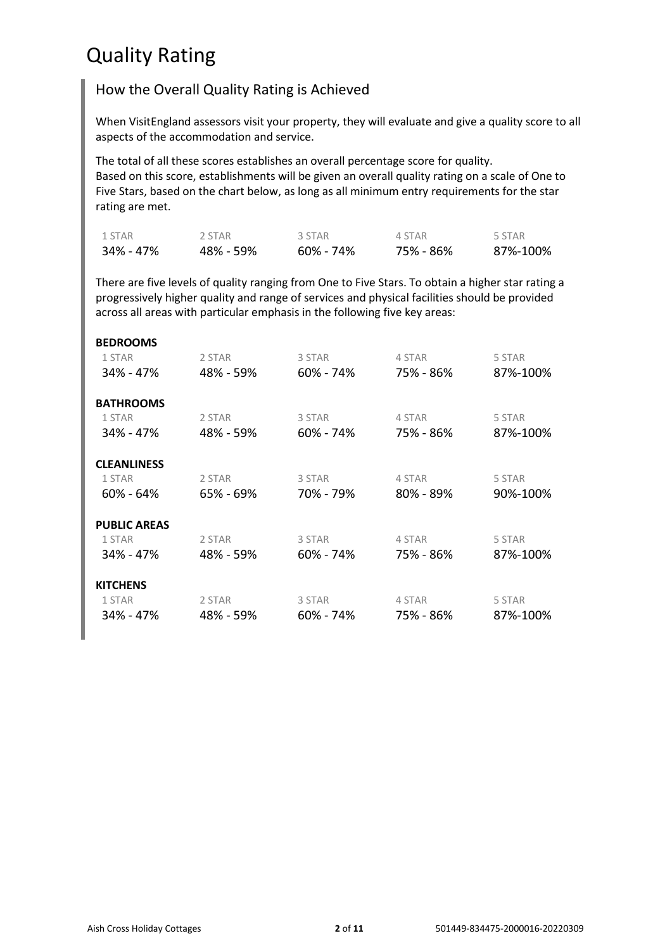## Quality Rating

### How the Overall Quality Rating is Achieved

When VisitEngland assessors visit your property, they will evaluate and give a quality score to all aspects of the accommodation and service.

The total of all these scores establishes an overall percentage score for quality. Based on this score, establishments will be given an overall quality rating on a scale of One to Five Stars, based on the chart below, as long as all minimum entry requirements for the star rating are met.

| 1 STAR    | 2 STAR    | 3 STAR       | 4 STAR    | 5 STAR   |
|-----------|-----------|--------------|-----------|----------|
| 34% - 47% | 48% - 59% | $60\%$ - 74% | 75% - 86% | 87%-100% |

There are five levels of quality ranging from One to Five Stars. To obtain a higher star rating a progressively higher quality and range of services and physical facilities should be provided across all areas with particular emphasis in the following five key areas:

| <b>BEDROOMS</b>     |           |               |               |          |
|---------------------|-----------|---------------|---------------|----------|
| 1 STAR              | 2 STAR    | 3 STAR        | 4 STAR        | 5 STAR   |
| 34% - 47%           | 48% - 59% | 60% - 74%     | 75% - 86%     | 87%-100% |
| <b>BATHROOMS</b>    |           |               |               |          |
| 1 STAR              | 2 STAR    | 3 STAR        | 4 STAR        | 5 STAR   |
| 34% - 47%           | 48% - 59% | $60\% - 74\%$ | 75% - 86%     | 87%-100% |
| <b>CLEANLINESS</b>  |           |               |               |          |
| 1 STAR              | 2 STAR    | 3 STAR        | 4 STAR        | 5 STAR   |
| $60\% - 64\%$       | 65% - 69% | 70% - 79%     | $80\% - 89\%$ | 90%-100% |
| <b>PUBLIC AREAS</b> |           |               |               |          |
| 1 STAR              | 2 STAR    | 3 STAR        | 4 STAR        | 5 STAR   |
| 34% - 47%           | 48% - 59% | 60% - 74%     | 75% - 86%     | 87%-100% |
| <b>KITCHENS</b>     |           |               |               |          |
| 1 STAR              | 2 STAR    | 3 STAR        | 4 STAR        | 5 STAR   |
| 34% - 47%           | 48% - 59% | 60% - 74%     | 75% - 86%     | 87%-100% |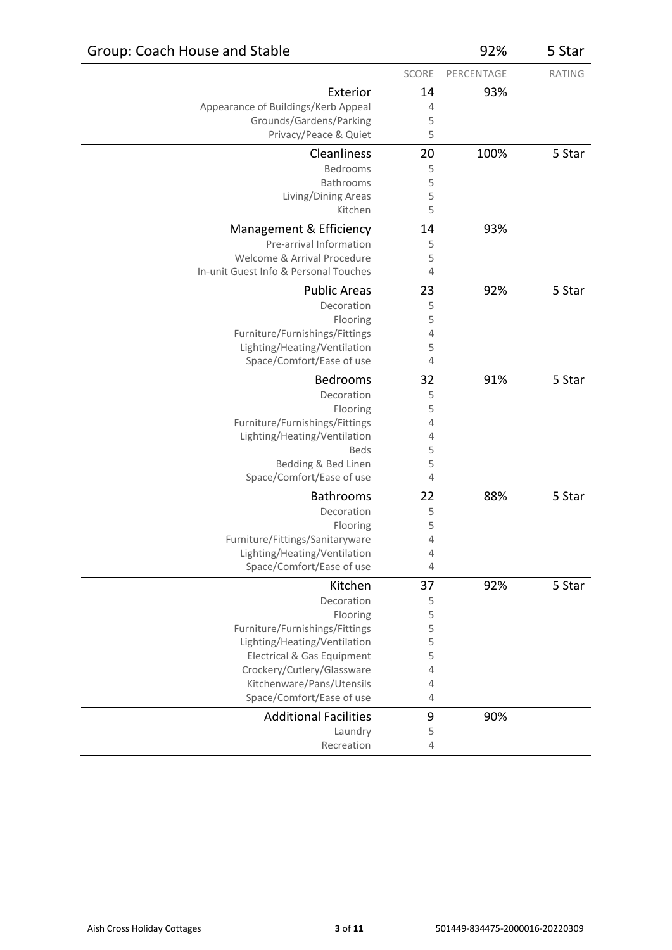| Group: Coach House and Stable                                  |              | 92%        | 5 Star        |
|----------------------------------------------------------------|--------------|------------|---------------|
|                                                                | <b>SCORE</b> | PERCENTAGE | <b>RATING</b> |
| Exterior                                                       | 14           | 93%        |               |
| Appearance of Buildings/Kerb Appeal                            | 4            |            |               |
| Grounds/Gardens/Parking                                        | 5            |            |               |
| Privacy/Peace & Quiet                                          | 5            |            |               |
| Cleanliness                                                    | 20           | 100%       | 5 Star        |
| Bedrooms                                                       | 5            |            |               |
| Bathrooms                                                      | 5            |            |               |
| Living/Dining Areas                                            | 5            |            |               |
| Kitchen                                                        | 5            |            |               |
| Management & Efficiency                                        | 14           | 93%        |               |
| Pre-arrival Information                                        | 5            |            |               |
| Welcome & Arrival Procedure                                    | 5            |            |               |
| In-unit Guest Info & Personal Touches                          | 4            |            |               |
| <b>Public Areas</b>                                            | 23           | 92%        | 5 Star        |
| Decoration                                                     | 5            |            |               |
| Flooring                                                       | 5            |            |               |
| Furniture/Furnishings/Fittings                                 | 4            |            |               |
| Lighting/Heating/Ventilation                                   | 5            |            |               |
| Space/Comfort/Ease of use                                      | 4            |            |               |
| Bedrooms                                                       | 32           | 91%        | 5 Star        |
| Decoration                                                     | 5            |            |               |
| Flooring                                                       | 5            |            |               |
| Furniture/Furnishings/Fittings<br>Lighting/Heating/Ventilation | 4<br>4       |            |               |
| <b>Beds</b>                                                    | 5            |            |               |
| Bedding & Bed Linen                                            | 5            |            |               |
| Space/Comfort/Ease of use                                      | 4            |            |               |
| <b>Bathrooms</b>                                               | 22           | 88%        | 5 Star        |
| Decoration                                                     | 5            |            |               |
| Flooring                                                       | 5            |            |               |
| Furniture/Fittings/Sanitaryware                                | 4            |            |               |
| Lighting/Heating/Ventilation                                   | 4            |            |               |
| Space/Comfort/Ease of use                                      | 4            |            |               |
| Kitchen                                                        | 37           | 92%        | 5 Star        |
| Decoration                                                     | 5            |            |               |
| Flooring                                                       | 5            |            |               |
| Furniture/Furnishings/Fittings                                 | 5            |            |               |
| Lighting/Heating/Ventilation                                   | 5            |            |               |
| Electrical & Gas Equipment                                     | 5            |            |               |
| Crockery/Cutlery/Glassware<br>Kitchenware/Pans/Utensils        | 4<br>4       |            |               |
| Space/Comfort/Ease of use                                      | 4            |            |               |
|                                                                |              |            |               |
| <b>Additional Facilities</b>                                   | 9            | 90%        |               |
| Laundry<br>Recreation                                          | 5<br>4       |            |               |
|                                                                |              |            |               |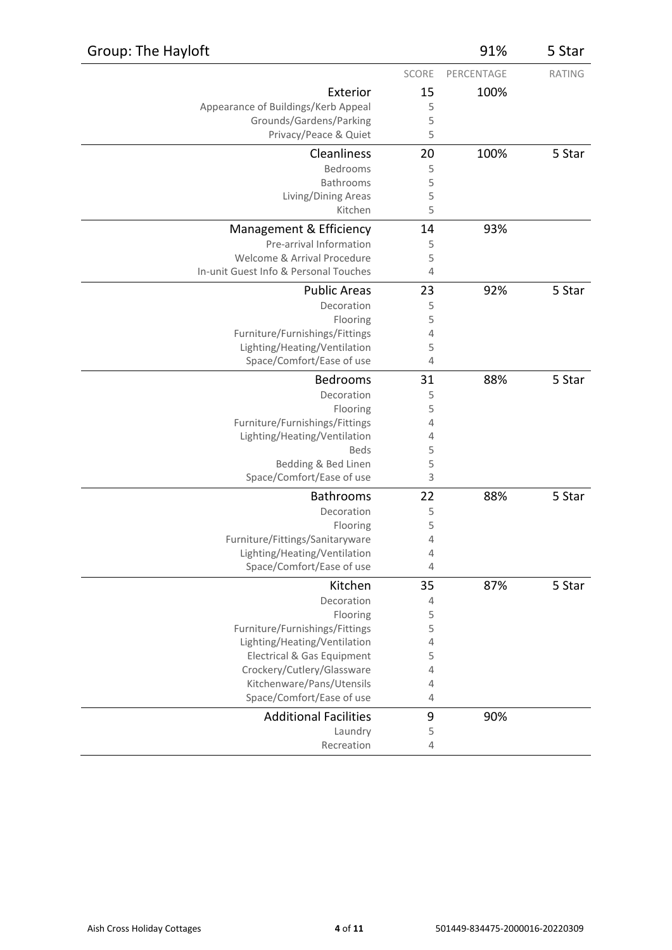| Group: The Hayloft                                             |                | 91%        | 5 Star        |
|----------------------------------------------------------------|----------------|------------|---------------|
|                                                                | SCORE          | PERCENTAGE | <b>RATING</b> |
| Exterior                                                       | 15             | 100%       |               |
| Appearance of Buildings/Kerb Appeal                            | 5              |            |               |
| Grounds/Gardens/Parking                                        | 5              |            |               |
| Privacy/Peace & Quiet                                          | 5              |            |               |
| Cleanliness                                                    | 20             | 100%       | 5 Star        |
| Bedrooms                                                       | 5              |            |               |
| Bathrooms                                                      | 5              |            |               |
| Living/Dining Areas                                            | 5              |            |               |
| Kitchen                                                        | 5              |            |               |
| Management & Efficiency                                        | 14             | 93%        |               |
| Pre-arrival Information                                        | 5              |            |               |
| Welcome & Arrival Procedure                                    | 5              |            |               |
| In-unit Guest Info & Personal Touches                          | $\overline{4}$ |            |               |
| <b>Public Areas</b>                                            | 23             | 92%        | 5 Star        |
| Decoration                                                     | 5              |            |               |
| Flooring                                                       | 5              |            |               |
| Furniture/Furnishings/Fittings                                 | 4              |            |               |
| Lighting/Heating/Ventilation                                   | 5              |            |               |
| Space/Comfort/Ease of use                                      | 4              |            |               |
| Bedrooms                                                       | 31             | 88%        | 5 Star        |
| Decoration                                                     | 5              |            |               |
| Flooring                                                       | 5              |            |               |
| Furniture/Furnishings/Fittings<br>Lighting/Heating/Ventilation | 4<br>4         |            |               |
| <b>Beds</b>                                                    | 5              |            |               |
| Bedding & Bed Linen                                            | 5              |            |               |
| Space/Comfort/Ease of use                                      | 3              |            |               |
| Bathrooms                                                      | 22             | 88%        | 5 Star        |
| Decoration                                                     | 5              |            |               |
| Flooring                                                       | 5              |            |               |
| Furniture/Fittings/Sanitaryware                                | 4              |            |               |
| Lighting/Heating/Ventilation                                   | 4              |            |               |
| Space/Comfort/Ease of use                                      | 4              |            |               |
| Kitchen                                                        | 35             | 87%        | 5 Star        |
| Decoration                                                     | 4              |            |               |
| Flooring                                                       | 5              |            |               |
| Furniture/Furnishings/Fittings                                 | 5              |            |               |
| Lighting/Heating/Ventilation                                   | $\overline{4}$ |            |               |
| Electrical & Gas Equipment                                     | 5              |            |               |
| Crockery/Cutlery/Glassware                                     | $\overline{4}$ |            |               |
| Kitchenware/Pans/Utensils<br>Space/Comfort/Ease of use         | 4<br>4         |            |               |
|                                                                |                |            |               |
| <b>Additional Facilities</b>                                   | 9              | 90%        |               |
| Laundry                                                        | 5              |            |               |
| Recreation                                                     | $\overline{4}$ |            |               |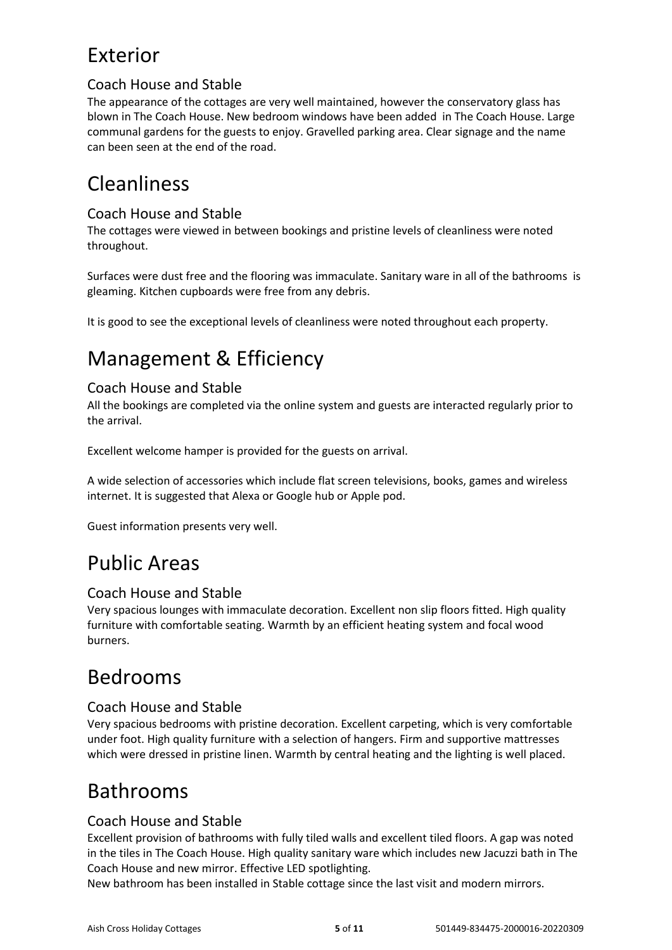# Exterior

### Coach House and Stable

The appearance of the cottages are very well maintained, however the conservatory glass has blown in The Coach House. New bedroom windows have been added in The Coach House. Large communal gardens for the guests to enjoy. Gravelled parking area. Clear signage and the name can been seen at the end of the road.

# Cleanliness

#### Coach House and Stable

The cottages were viewed in between bookings and pristine levels of cleanliness were noted throughout.

Surfaces were dust free and the flooring was immaculate. Sanitary ware in all of the bathrooms is gleaming. Kitchen cupboards were free from any debris.

It is good to see the exceptional levels of cleanliness were noted throughout each property.

# Management & Efficiency

### Coach House and Stable

All the bookings are completed via the online system and guests are interacted regularly prior to the arrival.

Excellent welcome hamper is provided for the guests on arrival.

A wide selection of accessories which include flat screen televisions, books, games and wireless internet. It is suggested that Alexa or Google hub or Apple pod.

Guest information presents very well.

### Public Areas

#### Coach House and Stable

Very spacious lounges with immaculate decoration. Excellent non slip floors fitted. High quality furniture with comfortable seating. Warmth by an efficient heating system and focal wood burners.

### Bedrooms

#### Coach House and Stable

Very spacious bedrooms with pristine decoration. Excellent carpeting, which is very comfortable under foot. High quality furniture with a selection of hangers. Firm and supportive mattresses which were dressed in pristine linen. Warmth by central heating and the lighting is well placed.

### Bathrooms

#### Coach House and Stable

Excellent provision of bathrooms with fully tiled walls and excellent tiled floors. A gap was noted in the tiles in The Coach House. High quality sanitary ware which includes new Jacuzzi bath in The Coach House and new mirror. Effective LED spotlighting.

New bathroom has been installed in Stable cottage since the last visit and modern mirrors.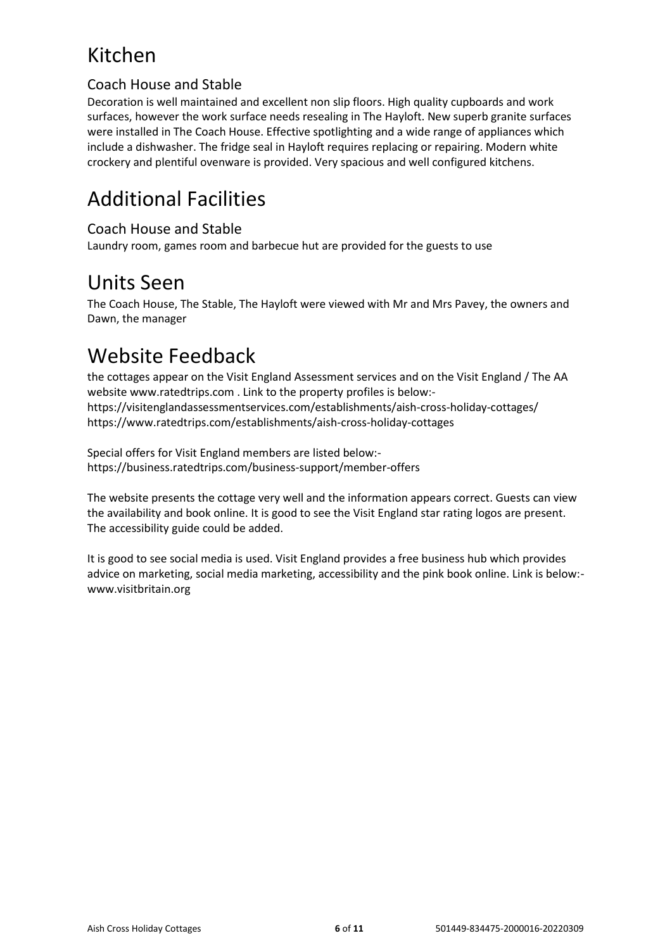# Kitchen

### Coach House and Stable

Decoration is well maintained and excellent non slip floors. High quality cupboards and work surfaces, however the work surface needs resealing in The Hayloft. New superb granite surfaces were installed in The Coach House. Effective spotlighting and a wide range of appliances which include a dishwasher. The fridge seal in Hayloft requires replacing or repairing. Modern white crockery and plentiful ovenware is provided. Very spacious and well configured kitchens.

# Additional Facilities

### Coach House and Stable

Laundry room, games room and barbecue hut are provided for the guests to use

### Units Seen

The Coach House, The Stable, The Hayloft were viewed with Mr and Mrs Pavey, the owners and Dawn, the manager

# Website Feedback

the cottages appear on the Visit England Assessment services and on the Visit England / The AA website www.ratedtrips.com . Link to the property profiles is below: https://visitenglandassessmentservices.com/establishments/aish-cross-holiday-cottages/ https://www.ratedtrips.com/establishments/aish-cross-holiday-cottages

Special offers for Visit England members are listed below: https://business.ratedtrips.com/business-support/member-offers

The website presents the cottage very well and the information appears correct. Guests can view the availability and book online. It is good to see the Visit England star rating logos are present. The accessibility guide could be added.

It is good to see social media is used. Visit England provides a free business hub which provides advice on marketing, social media marketing, accessibility and the pink book online. Link is below: www.visitbritain.org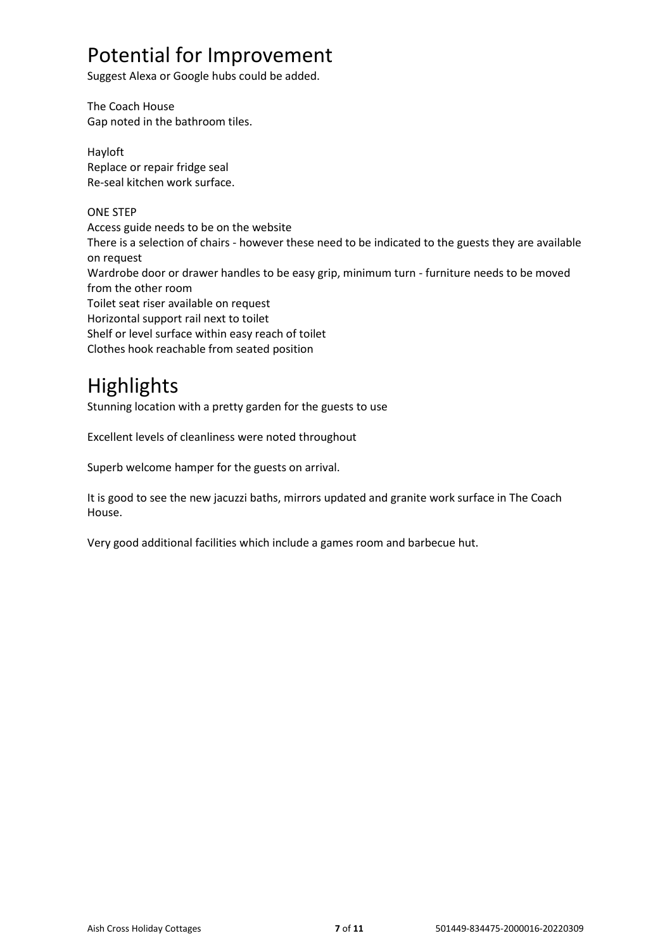### Potential for Improvement

Suggest Alexa or Google hubs could be added.

The Coach House Gap noted in the bathroom tiles.

Hayloft Replace or repair fridge seal Re-seal kitchen work surface.

#### ONE STEP

Access guide needs to be on the website There is a selection of chairs - however these need to be indicated to the guests they are available on request Wardrobe door or drawer handles to be easy grip, minimum turn - furniture needs to be moved from the other room Toilet seat riser available on request Horizontal support rail next to toilet Shelf or level surface within easy reach of toilet Clothes hook reachable from seated position

### **Highlights**

Stunning location with a pretty garden for the guests to use

Excellent levels of cleanliness were noted throughout

Superb welcome hamper for the guests on arrival.

It is good to see the new jacuzzi baths, mirrors updated and granite work surface in The Coach House.

Very good additional facilities which include a games room and barbecue hut.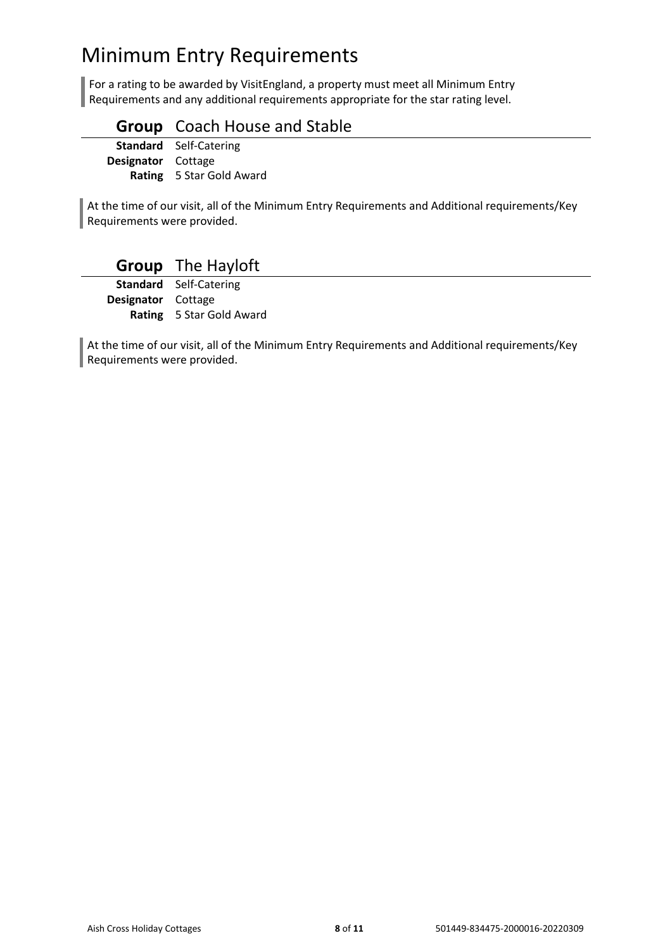# Minimum Entry Requirements

For a rating to be awarded by VisitEngland, a property must meet all Minimum Entry Requirements and any additional requirements appropriate for the star rating level.

### **Group** Coach House and Stable

**Standard** Self-Catering **Designator** Cottage **Rating** 5 Star Gold Award

At the time of our visit, all of the Minimum Entry Requirements and Additional requirements/Key Requirements were provided.

### **Group** The Hayloft

**Standard** Self-Catering **Designator** Cottage **Rating** 5 Star Gold Award

At the time of our visit, all of the Minimum Entry Requirements and Additional requirements/Key Requirements were provided.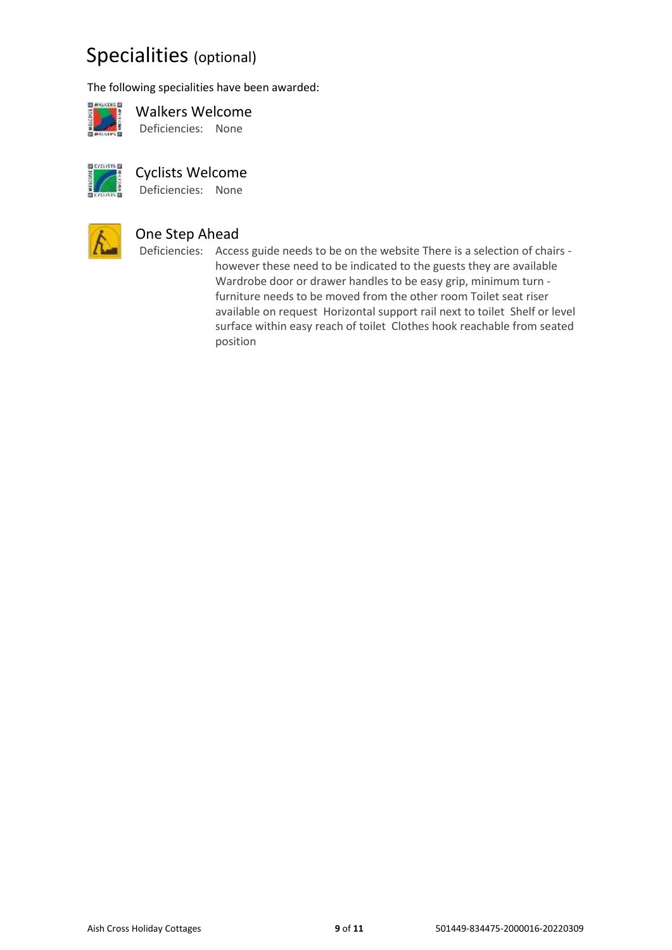### Specialities (optional)

The following specialities have been awarded:



Walkers Welcome Deficiencies: None



#### Cyclists Welcome

Deficiencies: None



### One Step Ahead

Deficiencies: Access guide needs to be on the website There is a selection of chairs however these need to be indicated to the guests they are available Wardrobe door or drawer handles to be easy grip, minimum turn furniture needs to be moved from the other room Toilet seat riser available on request Horizontal support rail next to toilet Shelf or level surface within easy reach of toilet Clothes hook reachable from seated position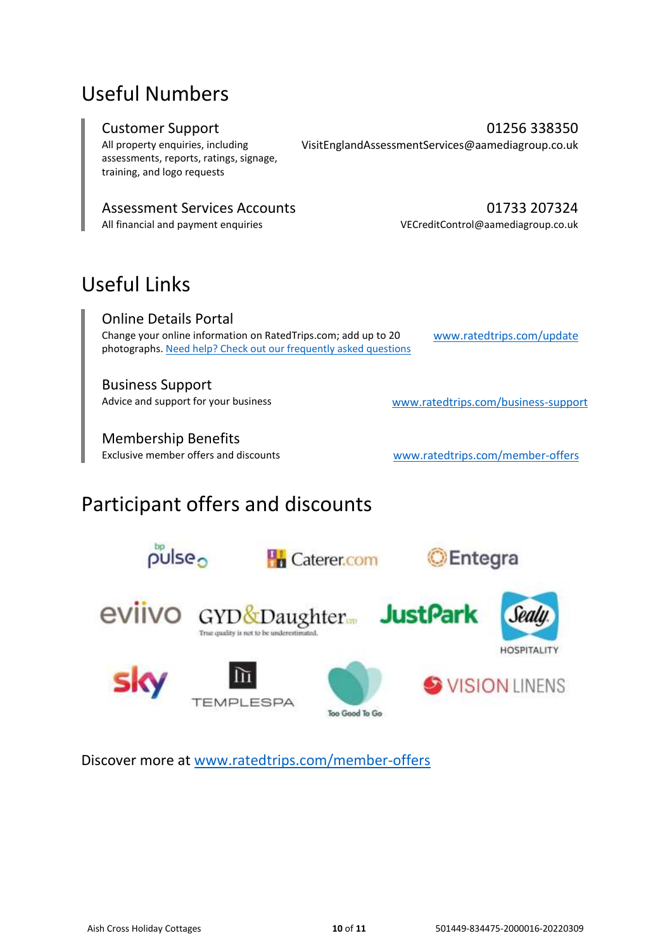### Useful Numbers

All property enquiries, including assessments, reports, ratings, signage, training, and logo requests

Customer Support **Customer Support Customer Support 01256 338350** VisitEnglandAssessmentServices@aamediagroup.co.uk

#### Assessment Services Accounts **1200 1200 1200 1200 1233** 207324

All financial and payment enquiries VECreditControl@aamediagroup.co.uk

# Useful Links

Online Details Portal Change your online information on RatedTrips.com; add up to 20 photographs. [Need help? Check out our frequently asked questions](https://business.ratedtrips.com/business-support/advice/how-do-I-update-my-page-on-rated-trips)

[www.ratedtrips.com/update](http://www.ratedtrips.com/update)

Business Support Advice and support for your business [www.ratedtrips.com/business-support](https://www.ratedtrips.com/business-support)

Membership Benefits<br>Exclusive member offers and discounts

[www.ratedtrips.com/member-offers](https://www.ratedtrips.com/member-offers)

# Participant offers and discounts



Discover more at [www.ratedtrips.com/member-offers](http://www.ratedtrips.com/member-offers)